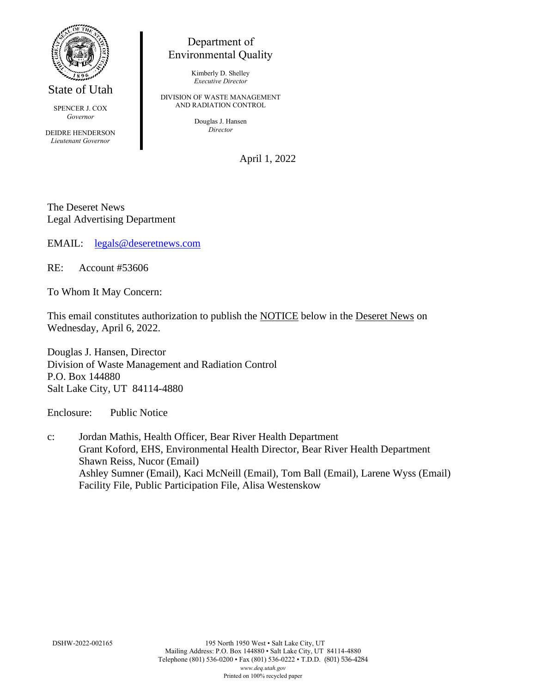

State of Utah

SPENCER J. COX *Governor*

DEIDRE HENDERSON *Lieutenant Governor*

## Department of Environmental Quality

Kimberly D. Shelley *Executive Director*

DIVISION OF WASTE MANAGEMENT AND RADIATION CONTROL

> Douglas J. Hansen *Director*

> > April 1, 2022

The Deseret News Legal Advertising Department

EMAIL: [legals@deseretnews.com](mailto:legals@deseretnews.com)

RE: Account #53606

To Whom It May Concern:

This email constitutes authorization to publish the NOTICE below in the Deseret News on Wednesday, April 6, 2022.

Douglas J. Hansen, Director Division of Waste Management and Radiation Control P.O. Box 144880 Salt Lake City, UT 84114-4880

Enclosure: Public Notice

c: Jordan Mathis, Health Officer, Bear River Health Department Grant Koford, EHS, Environmental Health Director, Bear River Health Department Shawn Reiss, Nucor (Email) Ashley Sumner (Email), Kaci McNeill (Email), Tom Ball (Email), Larene Wyss (Email) Facility File, Public Participation File, Alisa Westenskow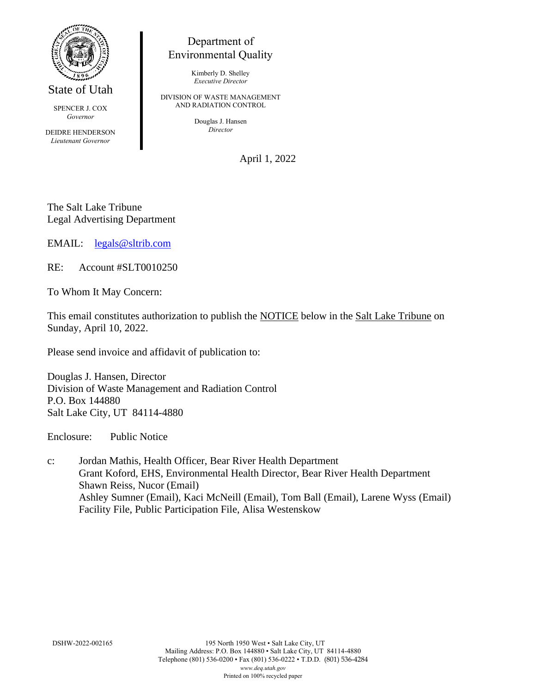

State of Utah

SPENCER J. COX *Governor*

DEIDRE HENDERSON *Lieutenant Governor*

## Department of Environmental Quality

Kimberly D. Shelley *Executive Director*

DIVISION OF WASTE MANAGEMENT AND RADIATION CONTROL

> Douglas J. Hansen *Director*

> > April 1, 2022

The Salt Lake Tribune Legal Advertising Department

EMAIL: [legals@sltrib.com](mailto:legals@sltrib.com)

RE: Account #SLT0010250

To Whom It May Concern:

This email constitutes authorization to publish the NOTICE below in the Salt Lake Tribune on Sunday, April 10, 2022.

Please send invoice and affidavit of publication to:

Douglas J. Hansen, Director Division of Waste Management and Radiation Control P.O. Box 144880 Salt Lake City, UT 84114-4880

Enclosure: Public Notice

c: Jordan Mathis, Health Officer, Bear River Health Department Grant Koford, EHS, Environmental Health Director, Bear River Health Department Shawn Reiss, Nucor (Email) Ashley Sumner (Email), Kaci McNeill (Email), Tom Ball (Email), Larene Wyss (Email) Facility File, Public Participation File, Alisa Westenskow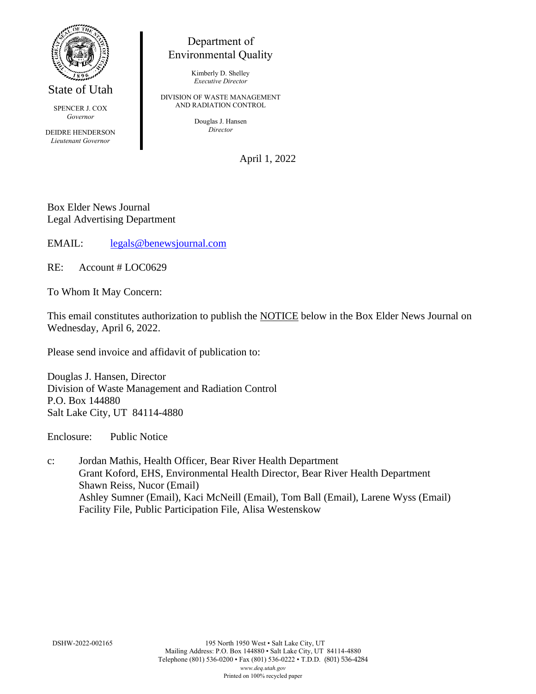

State of Utah

SPENCER J. COX *Governor*

DEIDRE HENDERSON *Lieutenant Governor*

## Department of Environmental Quality

Kimberly D. Shelley *Executive Director*

DIVISION OF WASTE MANAGEMENT AND RADIATION CONTROL

> Douglas J. Hansen *Director*

> > April 1, 2022

Box Elder News Journal Legal Advertising Department

EMAIL: [legals@benewsjournal.com](mailto:legals@benewsjournal.com)

RE: Account # LOC0629

To Whom It May Concern:

This email constitutes authorization to publish the NOTICE below in the Box Elder News Journal on Wednesday, April 6, 2022.

Please send invoice and affidavit of publication to:

Douglas J. Hansen, Director Division of Waste Management and Radiation Control P.O. Box 144880 Salt Lake City, UT 84114-4880

Enclosure: Public Notice

c: Jordan Mathis, Health Officer, Bear River Health Department Grant Koford, EHS, Environmental Health Director, Bear River Health Department Shawn Reiss, Nucor (Email) Ashley Sumner (Email), Kaci McNeill (Email), Tom Ball (Email), Larene Wyss (Email) Facility File, Public Participation File, Alisa Westenskow